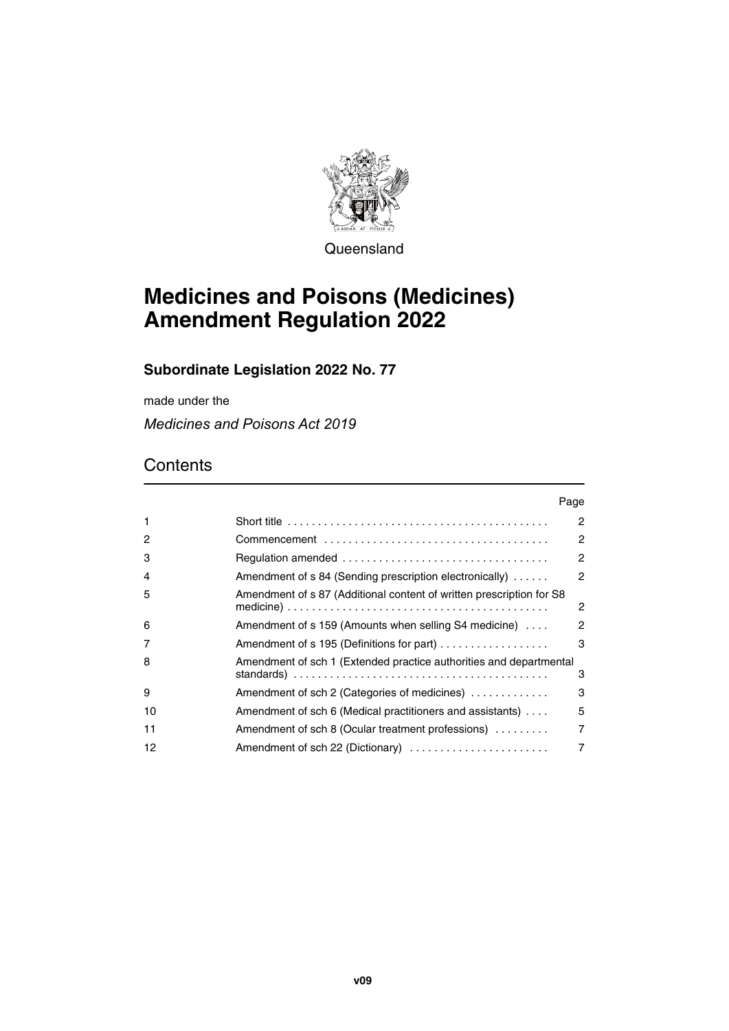

**Queensland** 

# **Medicines and Poisons (Medicines) Amendment Regulation 2022**

### **Subordinate Legislation 2022 No. 77**

made under the

*Medicines and Poisons Act 2019*

### **Contents**

|    | Page                                                                 |   |
|----|----------------------------------------------------------------------|---|
| 1  |                                                                      | 2 |
| 2  |                                                                      | 2 |
| 3  |                                                                      | 2 |
| 4  | Amendment of s 84 (Sending prescription electronically)              | 2 |
| 5  | Amendment of s 87 (Additional content of written prescription for S8 | 2 |
| 6  | Amendment of s 159 (Amounts when selling S4 medicine)                | 2 |
| 7  | Amendment of s 195 (Definitions for part)                            | 3 |
| 8  | Amendment of sch 1 (Extended practice authorities and departmental   | 3 |
| 9  | Amendment of sch 2 (Categories of medicines)                         | 3 |
| 10 | Amendment of sch 6 (Medical practitioners and assistants)            | 5 |
| 11 | Amendment of sch 8 (Ocular treatment professions)                    | 7 |
| 12 |                                                                      | 7 |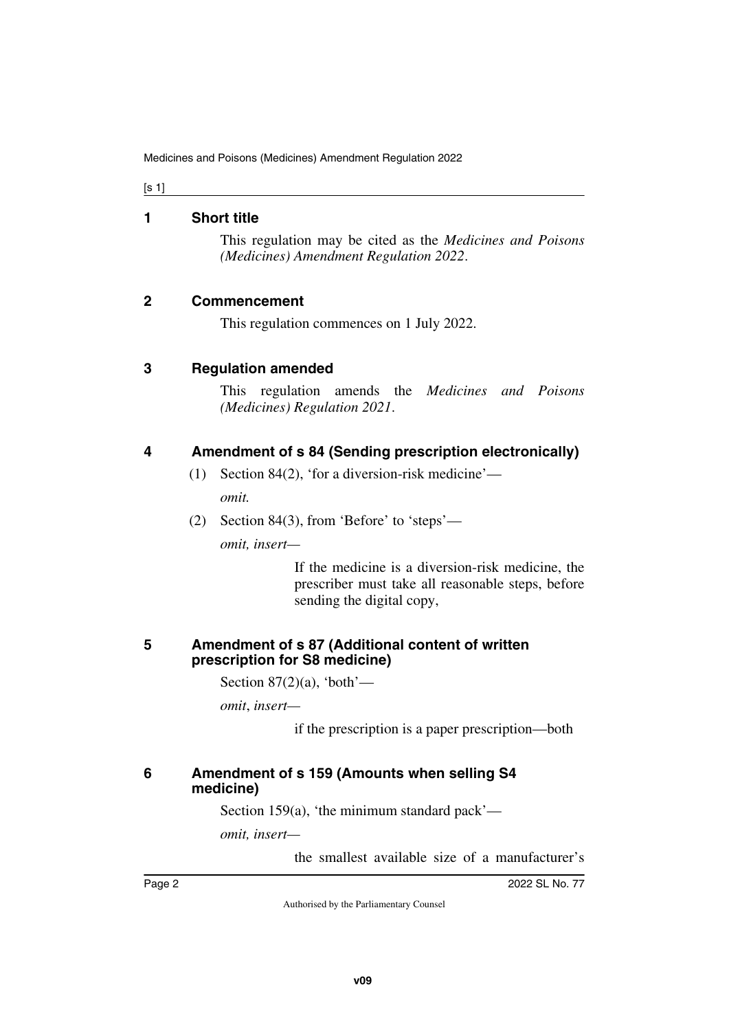[s 1]

#### <span id="page-1-0"></span>**1 Short title**

<span id="page-1-1"></span>This regulation may be cited as the *Medicines and Poisons (Medicines) Amendment Regulation 2022*.

### <span id="page-1-2"></span>**2 Commencement**

<span id="page-1-5"></span><span id="page-1-3"></span>This regulation commences on 1 July 2022.

### <span id="page-1-4"></span>**3 Regulation amended**

This regulation amends the *Medicines and Poisons (Medicines) Regulation 2021*.

### <span id="page-1-6"></span>**4 Amendment of s 84 (Sending prescription electronically)**

<span id="page-1-7"></span>(1) Section 84(2), 'for a diversion-risk medicine'—

*omit.*

(2) Section 84(3), from 'Before' to 'steps'—

*omit, insert—*

If the medicine is a diversion-risk medicine, the prescriber must take all reasonable steps, before sending the digital copy,

### <span id="page-1-9"></span><span id="page-1-8"></span>**5 Amendment of s 87 (Additional content of written prescription for S8 medicine)**

Section  $87(2)(a)$ , 'both'—

*omit*, *insert—*

if the prescription is a paper prescription—both

### <span id="page-1-11"></span><span id="page-1-10"></span>**6 Amendment of s 159 (Amounts when selling S4 medicine)**

Section 159(a), 'the minimum standard pack'—

*omit, insert—*

the smallest available size of a manufacturer's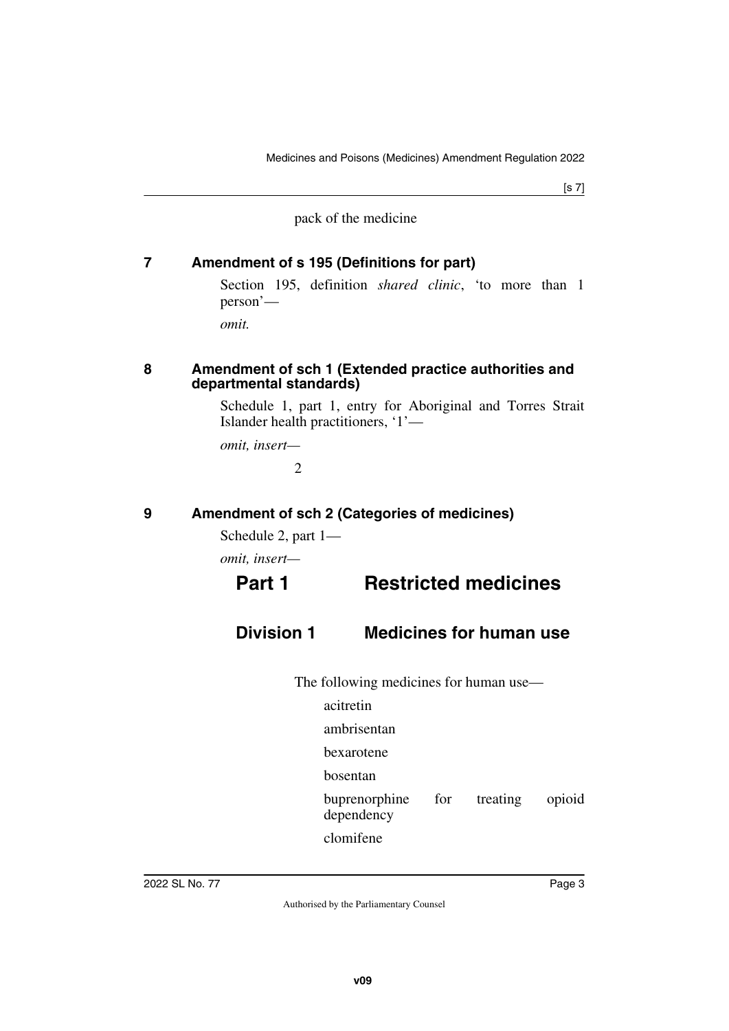[s 7]

pack of the medicine

### <span id="page-2-0"></span>**7 Amendment of s 195 (Definitions for part)**

<span id="page-2-1"></span>Section 195, definition *shared clinic*, 'to more than 1 person'—

<span id="page-2-3"></span>*omit.*

#### <span id="page-2-2"></span>**8 Amendment of sch 1 (Extended practice authorities and departmental standards)**

Schedule 1, part 1, entry for Aboriginal and Torres Strait Islander health practitioners, '1'—

*omit, insert—*

 $\mathfrak{D}$ 

### <span id="page-2-4"></span>**9 Amendment of sch 2 (Categories of medicines)**

<span id="page-2-5"></span>Schedule 2, part 1—

*omit, insert—*

## **Part 1 Restricted medicines**

## **Division 1 Medicines for human use**

The following medicines for human use—

- acitretin
- ambrisentan
- bexarotene
- bosentan
- buprenorphine for treating opioid dependency

clomifene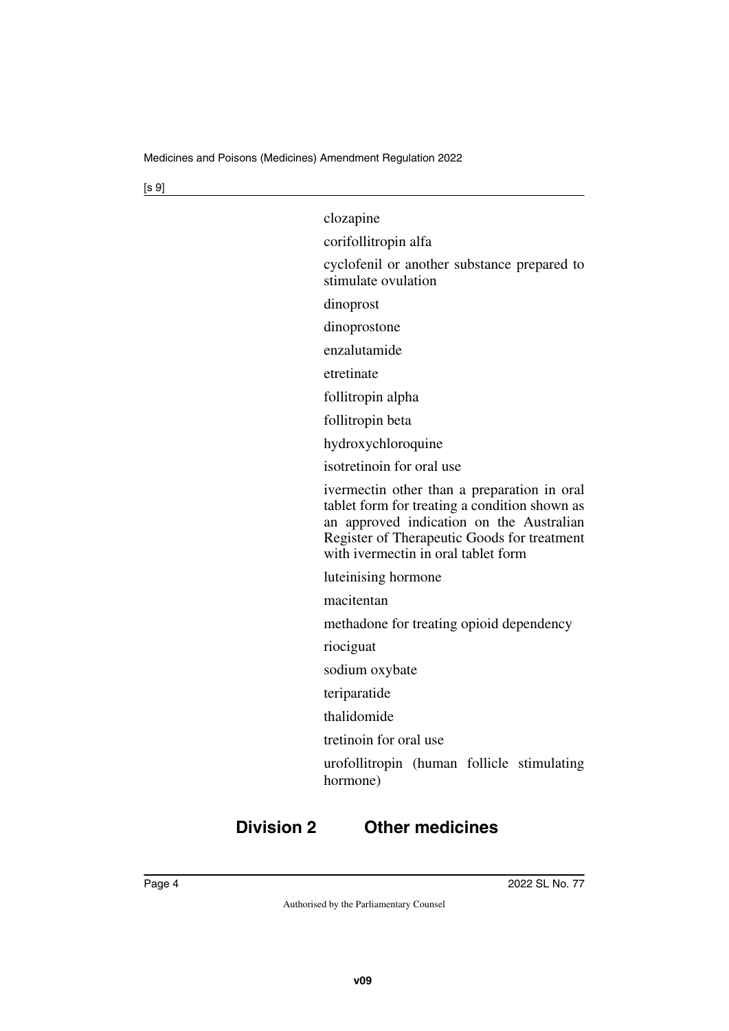| clozapine                                                                                                                                                                                                                      |
|--------------------------------------------------------------------------------------------------------------------------------------------------------------------------------------------------------------------------------|
| corifollitropin alfa                                                                                                                                                                                                           |
| cyclofenil or another substance prepared to<br>stimulate ovulation                                                                                                                                                             |
| dinoprost                                                                                                                                                                                                                      |
| dinoprostone                                                                                                                                                                                                                   |
| enzalutamide                                                                                                                                                                                                                   |
| etretinate                                                                                                                                                                                                                     |
| follitropin alpha                                                                                                                                                                                                              |
| follitropin beta                                                                                                                                                                                                               |
| hydroxychloroquine                                                                                                                                                                                                             |
| isotretinoin for oral use                                                                                                                                                                                                      |
| ivermectin other than a preparation in oral<br>tablet form for treating a condition shown as<br>an approved indication on the Australian<br>Register of Therapeutic Goods for treatment<br>with ivermectin in oral tablet form |
| luteinising hormone                                                                                                                                                                                                            |
| macitentan                                                                                                                                                                                                                     |
| methadone for treating opioid dependency                                                                                                                                                                                       |
| riociguat                                                                                                                                                                                                                      |
| sodium oxybate                                                                                                                                                                                                                 |
| teriparatide                                                                                                                                                                                                                   |
| thalidomide                                                                                                                                                                                                                    |
| tretinoin for oral use                                                                                                                                                                                                         |
| urofollitropin (human follicle stimulating<br>hormone)                                                                                                                                                                         |
|                                                                                                                                                                                                                                |

## **Division 2 Other medicines**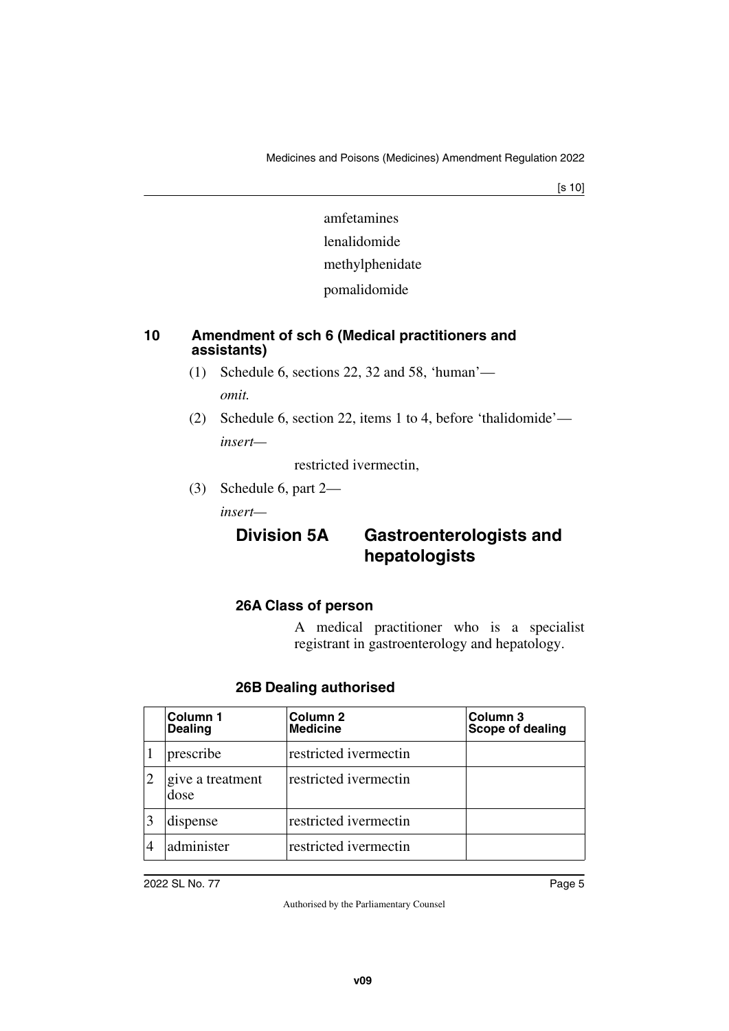[s 10]

amfetamines lenalidomide methylphenidate pomalidomide

### <span id="page-4-1"></span><span id="page-4-0"></span>**10 Amendment of sch 6 (Medical practitioners and assistants)**

- (1) Schedule 6, sections 22, 32 and 58, 'human' *omit.*
- (2) Schedule 6, section 22, items 1 to 4, before 'thalidomide' *insert—*

restricted ivermectin,

(3) Schedule 6, part 2—

*insert—*

## **Division 5A Gastroenterologists and hepatologists**

### **26A Class of person**

A medical practitioner who is a specialist registrant in gastroenterology and hepatology.

| Column 1<br><b>Dealing</b> | Column <sub>2</sub><br><b>Medicine</b> | Column 3<br>Scope of dealing |
|----------------------------|----------------------------------------|------------------------------|
| prescribe                  | restricted ivermectin                  |                              |
| give a treatment<br>dose   | restricted ivermectin                  |                              |
| dispense                   | restricted ivermectin                  |                              |
| administer                 | restricted ivermectin                  |                              |

### **26B Dealing authorised**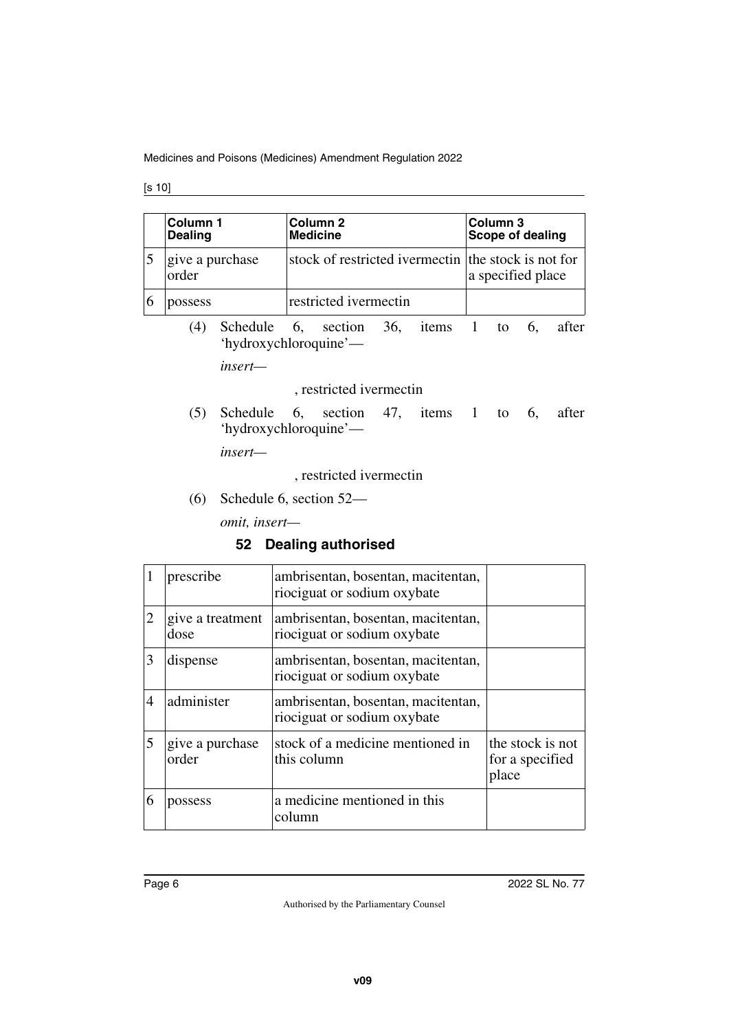|   | Column 1<br><b>Dealing</b> |                                                                      | Column <sub>2</sub><br><b>Medicine</b> |                         |  | Column 3<br><b>Scope of dealing</b>       |  |  |    |       |
|---|----------------------------|----------------------------------------------------------------------|----------------------------------------|-------------------------|--|-------------------------------------------|--|--|----|-------|
| 5 | give a purchase<br>order   |                                                                      | stock of restricted ivermectin         |                         |  | the stock is not for<br>a specified place |  |  |    |       |
| 6 | possess                    |                                                                      |                                        | restricted ivermectin   |  |                                           |  |  |    |       |
|   | (4)                        | Schedule 6, section 36, items 1 to<br>'hydroxychloroquine'—          |                                        |                         |  |                                           |  |  | 6, | after |
|   |                            | insert—                                                              |                                        |                         |  |                                           |  |  |    |       |
|   |                            |                                                                      | , restricted ivermectin                |                         |  |                                           |  |  |    |       |
|   | (5)                        | Schedule 6, section 47, items 1 to 6, after<br>'hydroxychloroquine'— |                                        |                         |  |                                           |  |  |    |       |
|   |                            | insert—                                                              |                                        |                         |  |                                           |  |  |    |       |
|   | , restricted ivermectin    |                                                                      |                                        |                         |  |                                           |  |  |    |       |
|   | (6)                        |                                                                      |                                        | Schedule 6, section 52— |  |                                           |  |  |    |       |
|   |                            | omit, insert-                                                        |                                        |                         |  |                                           |  |  |    |       |
|   | 52 Dealing authorised      |                                                                      |                                        |                         |  |                                           |  |  |    |       |

|   | prescribe                | ambrisentan, bosentan, macitentan,<br>riociguat or sodium oxybate |                                              |
|---|--------------------------|-------------------------------------------------------------------|----------------------------------------------|
| 2 | give a treatment<br>dose | ambrisentan, bosentan, macitentan,<br>riociguat or sodium oxybate |                                              |
| 3 | dispense                 | ambrisentan, bosentan, macitentan,<br>riociguat or sodium oxybate |                                              |
|   | administer               | ambrisentan, bosentan, macitentan,<br>riociguat or sodium oxybate |                                              |
| 5 | give a purchase<br>order | stock of a medicine mentioned in<br>this column                   | the stock is not<br>for a specified<br>place |
|   | possess                  | a medicine mentioned in this<br>column                            |                                              |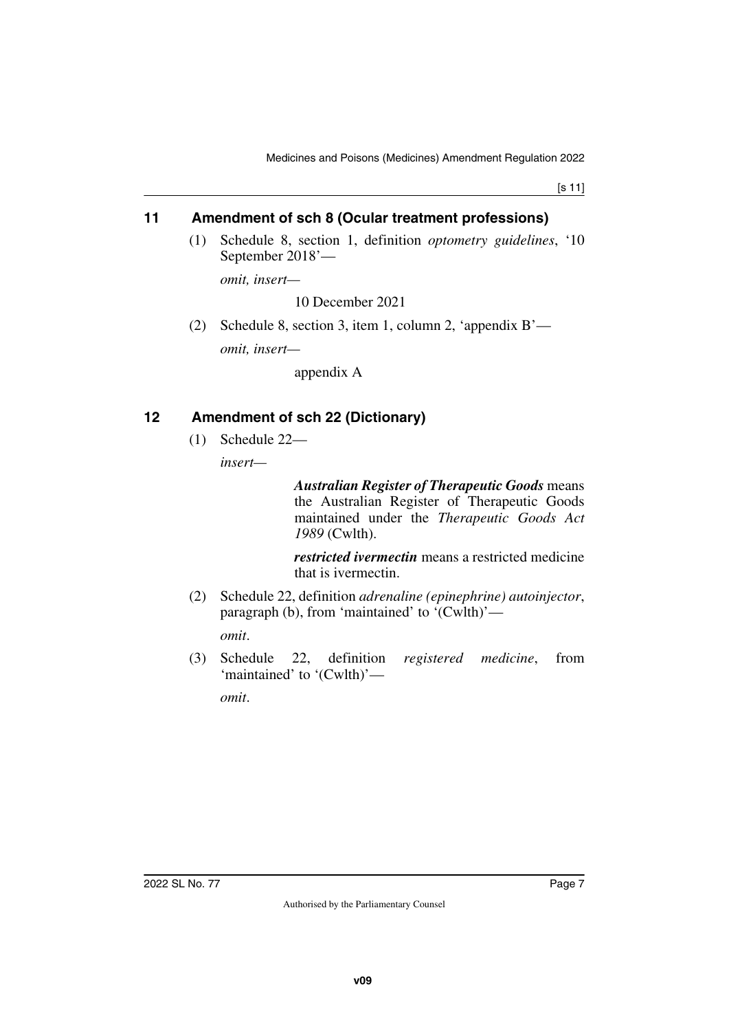[s 11]

### <span id="page-6-0"></span>**11 Amendment of sch 8 (Ocular treatment professions)**

<span id="page-6-1"></span>(1) Schedule 8, section 1, definition *optometry guidelines*, '10 September 2018'—

*omit, insert—*

10 December 2021

(2) Schedule 8, section 3, item 1, column 2, 'appendix B' *omit, insert—*

appendix A

### <span id="page-6-2"></span>**12 Amendment of sch 22 (Dictionary)**

<span id="page-6-3"></span>(1) Schedule 22—

*insert—*

*Australian Register of Therapeutic Goods* means the Australian Register of Therapeutic Goods maintained under the *Therapeutic Goods Act 1989* (Cwlth).

*restricted ivermectin* means a restricted medicine that is ivermectin.

- (2) Schedule 22, definition *adrenaline (epinephrine) autoinjector*, paragraph (b), from 'maintained' to '(Cwlth)' *omit*.
- (3) Schedule 22, definition *registered medicine*, from 'maintained' to '(Cwlth)' *omit*.